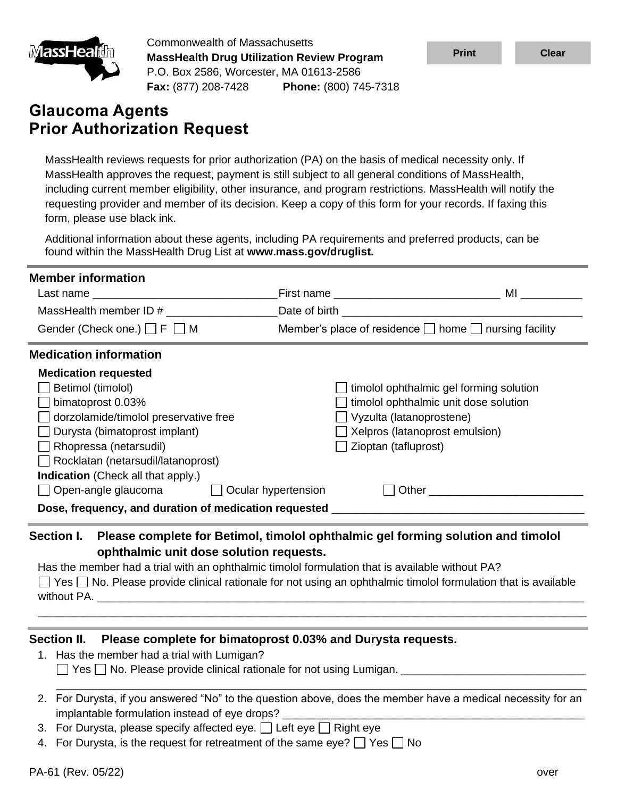

Commonwealth of Massachusetts **MassHealth Drug Utilization Review Program** P.O. Box 2586, Worcester, MA 01613-2586 **Fax:** (877) 208-7428 **Phone:** (800) 745-7318

# **Glaucoma Agents Prior Authorization Request**

MassHealth reviews requests for prior authorization (PA) on the basis of medical necessity only. If MassHealth approves the request, payment is still subject to all general conditions of MassHealth, including current member eligibility, other insurance, and program restrictions. MassHealth will notify the requesting provider and member of its decision. Keep a copy of this form for your records. If faxing this form, please use black ink.

Additional information about these agents, including PA requirements and preferred products, can be found within the MassHealth Drug List at **www.mass.gov/druglist.**

| <b>Member information</b>                                                                                                 |                                                                 |                                         |
|---------------------------------------------------------------------------------------------------------------------------|-----------------------------------------------------------------|-----------------------------------------|
|                                                                                                                           |                                                                 |                                         |
|                                                                                                                           |                                                                 |                                         |
| Gender (Check one.) $\Box$ F $\Box$ M                                                                                     | Member's place of residence $\Box$ home $\Box$ nursing facility |                                         |
| <b>Medication information</b>                                                                                             |                                                                 |                                         |
| <b>Medication requested</b>                                                                                               |                                                                 |                                         |
| Betimol (timolol)                                                                                                         |                                                                 | timolol ophthalmic gel forming solution |
| bimatoprost 0.03%                                                                                                         |                                                                 | timolol ophthalmic unit dose solution   |
| dorzolamide/timolol preservative free                                                                                     | $\Box$ Vyzulta (latanoprostene)                                 |                                         |
| Durysta (bimatoprost implant)                                                                                             |                                                                 | Kelpros (latanoprost emulsion)          |
| Rhopressa (netarsudil)                                                                                                    | Zioptan (tafluprost)                                            |                                         |
| $\Box$ Rocklatan (netarsudil/latanoprost)                                                                                 |                                                                 |                                         |
| <b>Indication</b> (Check all that apply.)                                                                                 |                                                                 |                                         |
| ◯ Open-angle glaucoma ◯ Ocular hypertension                                                                               |                                                                 |                                         |
| Dose, frequency, and duration of medication requested ___________________________                                         |                                                                 |                                         |
| Please complete for Betimol, timolol ophthalmic gel forming solution and timolol<br>Section I.                            |                                                                 |                                         |
| ophthalmic unit dose solution requests.                                                                                   |                                                                 |                                         |
| Has the member had a trial with an ophthalmic timolol formulation that is available without PA?                           |                                                                 |                                         |
| $\Box$ Yes $\Box$ No. Please provide clinical rationale for not using an ophthalmic timolol formulation that is available |                                                                 |                                         |
| without PA.                                                                                                               |                                                                 |                                         |

**Section II. Please complete for bimatoprost 0.03% and Durysta requests.**

1. Has the member had a trial with Lumigan?

 $\Box$  Yes  $\Box$  No. Please provide clinical rationale for not using Lumigan.  $\Box$ 

2. For Durysta, if you answered "No" to the question above, does the member have a medical necessity for an implantable formulation instead of eye drops?

\_\_\_\_\_\_\_\_\_\_\_\_\_\_\_\_\_\_\_\_\_\_\_\_\_\_\_\_\_\_\_\_\_\_\_\_\_\_\_\_\_\_\_\_\_\_\_\_\_\_\_\_\_\_\_\_\_\_\_\_\_\_\_\_\_\_\_\_\_\_\_\_\_\_\_\_\_\_\_\_\_\_\_\_\_\_

\_\_\_\_\_\_\_\_\_\_\_\_\_\_\_\_\_\_\_\_\_\_\_\_\_\_\_\_\_\_\_\_\_\_\_\_\_\_\_\_\_\_\_\_\_\_\_\_\_\_\_\_\_\_\_\_\_\_\_\_\_\_\_\_\_\_\_\_\_\_\_\_\_\_\_\_\_\_\_\_\_\_\_\_\_\_\_\_\_

- 3. For Durysta, please specify affected eye.  $\Box$  Left eye  $\Box$  Right eye
- 4. For Durysta, is the request for retreatment of the same eye?  $\Box$  Yes  $\Box$  No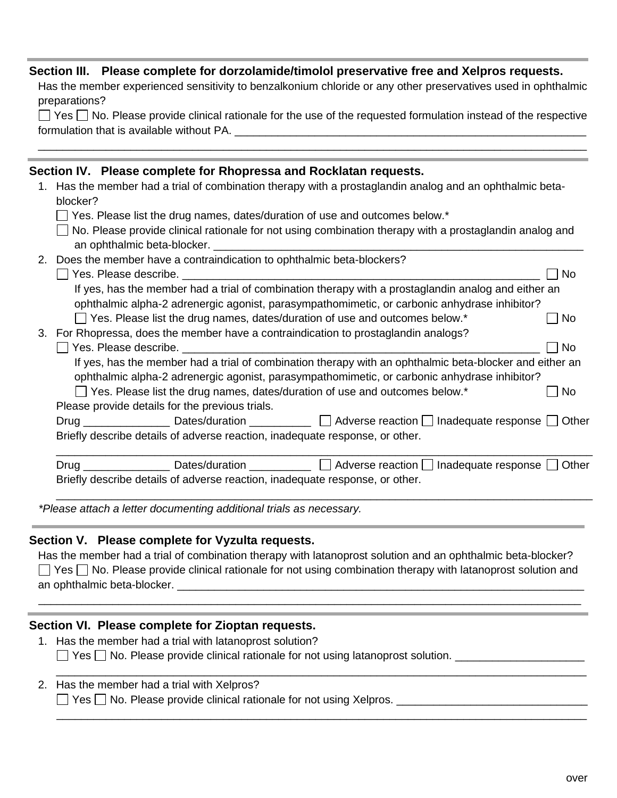#### **Section III. Please complete for dorzolamide/timolol preservative free and Xelpros requests.**

Has the member experienced sensitivity to benzalkonium chloride or any other preservatives used in ophthalmic preparations?

|                                           | $\Box$ Yes $\Box$ No. Please provide clinical rationale for the use of the requested formulation instead of the respective |  |
|-------------------------------------------|----------------------------------------------------------------------------------------------------------------------------|--|
| formulation that is available without PA. |                                                                                                                            |  |

\_\_\_\_\_\_\_\_\_\_\_\_\_\_\_\_\_\_\_\_\_\_\_\_\_\_\_\_\_\_\_\_\_\_\_\_\_\_\_\_\_\_\_\_\_\_\_\_\_\_\_\_\_\_\_\_\_\_\_\_\_\_\_\_\_\_\_\_\_\_\_\_\_\_\_\_\_\_\_\_\_\_\_\_\_\_\_\_\_

|    |          | Section IV. Please complete for Rhopressa and Rocklatan requests.                                                |           |
|----|----------|------------------------------------------------------------------------------------------------------------------|-----------|
| 1. |          | Has the member had a trial of combination therapy with a prostaglandin analog and an ophthalmic beta-            |           |
|    | blocker? |                                                                                                                  |           |
|    |          | Yes. Please list the drug names, dates/duration of use and outcomes below.*                                      |           |
|    |          | No. Please provide clinical rationale for not using combination therapy with a prostaglandin analog and          |           |
|    |          | an ophthalmic beta-blocker.                                                                                      |           |
|    |          | 2. Does the member have a contraindication to ophthalmic beta-blockers?                                          |           |
|    |          |                                                                                                                  | No        |
|    |          | If yes, has the member had a trial of combination therapy with a prostaglandin analog and either an              |           |
|    |          | ophthalmic alpha-2 adrenergic agonist, parasympathomimetic, or carbonic anhydrase inhibitor?                     |           |
|    |          | $\Box$ Yes. Please list the drug names, dates/duration of use and outcomes below.*                               | <b>No</b> |
| 3. |          | For Rhopressa, does the member have a contraindication to prostaglandin analogs?                                 |           |
|    |          | Yes. Please describe.                                                                                            | <b>No</b> |
|    |          | If yes, has the member had a trial of combination therapy with an ophthalmic beta-blocker and either an          |           |
|    |          | ophthalmic alpha-2 adrenergic agonist, parasympathomimetic, or carbonic anhydrase inhibitor?                     |           |
|    |          | Yes. Please list the drug names, dates/duration of use and outcomes below.*                                      | No        |
|    |          | Please provide details for the previous trials.                                                                  |           |
|    |          |                                                                                                                  |           |
|    |          | Briefly describe details of adverse reaction, inadequate response, or other.                                     |           |
|    |          | Drug _______________________Dates/duration ______________ [ ] Adverse reaction [ ] Inadequate response [ ] Other |           |
|    |          | Briefly describe details of adverse reaction, inadequate response, or other.                                     |           |
|    |          |                                                                                                                  |           |
|    |          |                                                                                                                  |           |

*\*Please attach a letter documenting additional trials as necessary.*

#### **Section V. Please complete for Vyzulta requests.**

Has the member had a trial of combination therapy with latanoprost solution and an ophthalmic beta-blocker? \_\_\_\_\_\_\_\_\_\_\_\_\_\_\_\_\_\_\_\_\_\_\_\_\_\_\_\_\_\_\_\_\_\_\_\_\_\_\_\_\_\_\_\_\_\_\_\_\_\_\_\_\_\_\_\_\_\_\_\_\_\_\_\_\_\_ an ophthalmic beta-blocker.  $\Box$  Yes  $\Box$  No. Please provide clinical rationale for not using combination therapy with latanoprost solution and

\_\_\_\_\_\_\_\_\_\_\_\_\_\_\_\_\_\_\_\_\_\_\_\_\_\_\_\_\_\_\_\_\_\_\_\_\_\_\_\_\_\_\_\_\_\_\_\_\_\_\_\_\_\_\_\_\_\_\_\_\_\_\_\_\_\_\_\_\_\_\_\_\_\_\_\_\_\_\_\_\_\_\_\_\_\_\_\_

\_\_\_\_\_\_\_\_\_\_\_\_\_\_\_\_\_\_\_\_\_\_\_\_\_\_\_\_\_\_\_\_\_\_\_\_\_\_\_\_\_\_\_\_\_\_\_\_\_\_\_\_\_\_\_\_\_\_\_\_\_\_\_\_\_\_\_\_\_\_\_\_\_\_\_\_\_\_\_\_\_\_\_\_\_\_

\_\_\_\_\_\_\_\_\_\_\_\_\_\_\_\_\_\_\_\_\_\_\_\_\_\_\_\_\_\_\_\_\_\_\_\_\_\_\_\_\_\_\_\_\_\_\_\_\_\_\_\_\_\_\_\_\_\_\_\_\_\_\_\_\_\_\_\_\_\_\_\_\_\_\_\_\_\_\_\_\_\_\_\_\_\_

### **Section VI. Please complete for Zioptan requests.**

- 1. Has the member had a trial with latanoprost solution? □ Yes □ No. Please provide clinical rationale for not using latanoprost solution. \_\_\_\_\_\_\_\_\_\_\_\_\_\_\_\_\_\_\_\_\_\_\_\_\_\_\_\_\_
- 2. Has the member had a trial with Xelpros? Yes No. Please provide clinical rationale for not using Xelpros. \_\_\_\_\_\_\_\_\_\_\_\_\_\_\_\_\_\_\_\_\_\_\_\_\_\_\_\_\_\_\_